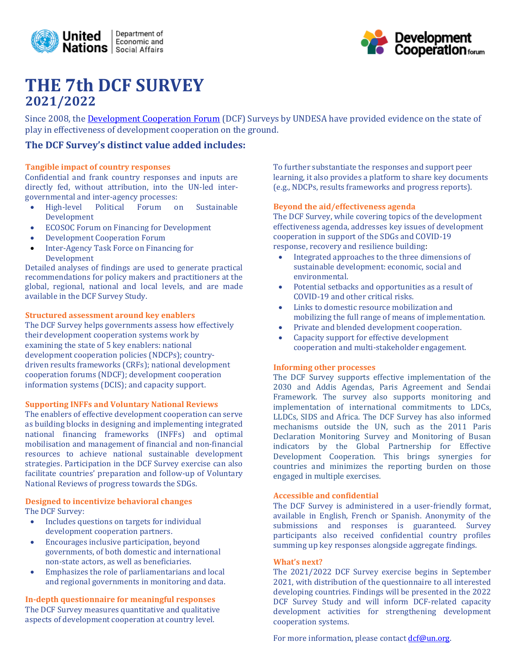



# **THE 7th DCF SURVEY 2021/2022**

Since 2008, the **Development Cooperation Forum** (DCF) Surveys by UNDESA have provided evidence on the state of play in effectiveness of development cooperation on the ground.

### **The DCF Survey's distinct value added includes:**

#### **Tangible impact of country responses**

Confidential and frank country responses and inputs are directly fed, without attribution, into the UN-led intergovernmental and inter-agency processes:

- High-level Political Forum on Sustainable Development
- ECOSOC Forum on Financing for Development
- Development Cooperation Forum
- Inter-Agency Task Force on Financing for Development

Detailed analyses of findings are used to generate practical recommendations for policy makers and practitioners at the global, regional, national and local levels, and are made available in the DCF Survey Study.

#### **Structured assessment around key enablers**

The DCF Survey helps governments assess how effectively their development cooperation systems work by examining the state of 5 key enablers: national development cooperation policies (NDCPs); countrydriven results frameworks (CRFs); national development cooperation forums (NDCF); development cooperation information systems (DCIS); and capacity support.

#### **Supporting INFFs and Voluntary National Reviews**

The enablers of effective development cooperation can serve as building blocks in designing and implementing integrated national financing frameworks (INFFs) and optimal mobilisation and management of financial and non-financial resources to achieve national sustainable development strategies. Participation in the DCF Survey exercise can also facilitate countries' preparation and follow-up of Voluntary National Reviews of progress towards the SDGs.

#### **Designed to incentivize behavioral changes** The DCF Survey:

- Includes questions on targets for individual development cooperation partners.
- Encourages inclusive participation, beyond governments, of both domestic and international non-state actors, as well as beneficiaries.
- Emphasizes the role of parliamentarians and local and regional governments in monitoring and data.

**In-depth questionnaire for meaningful responses** The DCF Survey measures quantitative and qualitative aspects of development cooperation at country level.

To further substantiate the responses and support peer learning, it also provides a platform to share key documents (e.g., NDCPs, results frameworks and progress reports).

#### **Beyond the aid/effectiveness agenda**

The DCF Survey, while covering topics of the development effectiveness agenda, addresses key issues of development cooperation in support of the SDGs and COVID-19 response, recovery and resilience building:

- Integrated approaches to the three dimensions of sustainable development: economic, social and environmental.
- Potential setbacks and opportunities as a result of COVID-19 and other critical risks.
- Links to domestic resource mobilization and mobilizing the full range of means of implementation.
- Private and blended development cooperation.
- Capacity support for effective development cooperation and multi-stakeholder engagement.

#### **Informing other processes**

The DCF Survey supports effective implementation of the 2030 and Addis Agendas, Paris Agreement and Sendai Framework. The survey also supports monitoring and implementation of international commitments to LDCs, LLDCs, SIDS and Africa. The DCF Survey has also informed mechanisms outside the UN, such as the 2011 Paris Declaration Monitoring Survey and Monitoring of Busan indicators by the Global Partnership for Effective Development Cooperation. This brings synergies for countries and minimizes the reporting burden on those engaged in multiple exercises.

#### **Accessible and confidential**

The DCF Survey is administered in a user-friendly format, available in English, French or Spanish. Anonymity of the submissions and responses is guaranteed. Survey participants also received confidential country profiles summing up key responses alongside aggregate findings.

#### **What's next?**

The 2021/2022 DCF Survey exercise begins in September 2021, with distribution of the questionnaire to all interested developing countries. Findings will be presented in the 2022 DCF Survey Study and will inform DCF-related capacity development activities for strengthening development cooperation systems.

For more information, please contact  $\text{dcf@un.org.}$